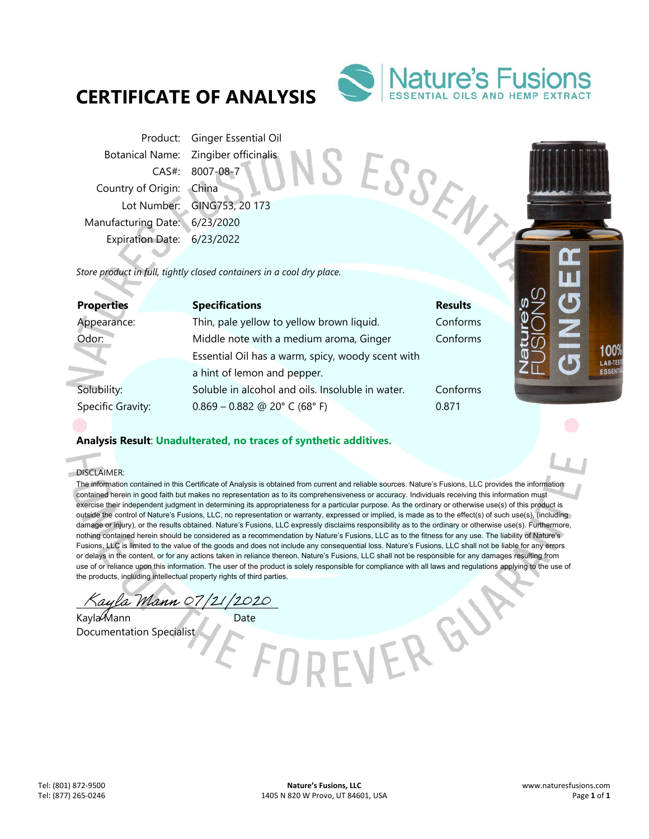# **CERTIFICATE OF ANALYSIS**



SESSENT

Product: Ginger Essential Oil Botanical Name: Zingiber officinalis CAS#: 8007-08-7 Country of Origin: China Lot Number: GING753, 20 173 Manufacturing Date: 6/23/2020 Expiration Date: 6/23/2022

*Store product in full, tightly closed containers in a cool dry place.* 

| <b>Properties</b> | <b>Specifications</b>                             | e's<br><b>Results</b> |
|-------------------|---------------------------------------------------|-----------------------|
| Appearance:       | Thin, pale yellow to yellow brown liquid.         | Conforms              |
| Odor:             | Middle note with a medium aroma, Ginger           | atu<br>Conforms       |
|                   | Essential Oil has a warm, spicy, woody scent with |                       |
|                   | a hint of lemon and pepper.                       |                       |
| Solubility:       | Soluble in alcohol and oils. Insoluble in water.  | Conforms              |
| Specific Gravity: | $0.869 - 0.882$ @ 20° C (68° F)                   | 0.871                 |
|                   |                                                   |                       |

## **Analysis Result**: **Unadulterated, no traces of synthetic additives.**

DISCLAIMER:

i.

The information contained in this Certificate of Analysis is obtained from current and reliable sources. Nature's Fusions, LLC provides the information contained herein in good faith but makes no representation as to its comprehensiveness or accuracy. Individuals receiving this information must exercise their independent judgment in determining its appropriateness for a particular purpose. As the ordinary or otherwise use(s) of this product is outside the control of Nature's Fusions, LLC, no representation or warranty, expressed or implied, is made as to the effect(s) of such use(s), (including damage or injury), or the results obtained. Nature's Fusions, LLC expressly disclaims responsibility as to the ordinary or otherwise use(s). Furthermore, nothing contained herein should be considered as a recommendation by Nature's Fusions, LLC as to the fitness for any use. The liability of Nature's Fusions, LLC is limited to the value of the goods and does not include any consequential loss. Nature's Fusions, LLC shall not be liable for any errors or delays in the content, or for any actions taken in reliance thereon. Nature's Fusions, LLC shall not be responsible for any damages resulting from use of or reliance upon this information. The user of the product is solely responsible for compliance with all laws and regulations applying to the use of the products, including intellectual property rights of third parties.

\_\_\_\_\_\_\_\_\_\_\_\_\_\_\_\_\_\_\_\_\_\_\_\_\_\_\_\_\_\_\_\_\_\_\_\_\_\_\_\_\_\_\_\_\_\_

Kayla Mann Date Documentation Specialist

VER GY

1009 LAB-TES ESSEN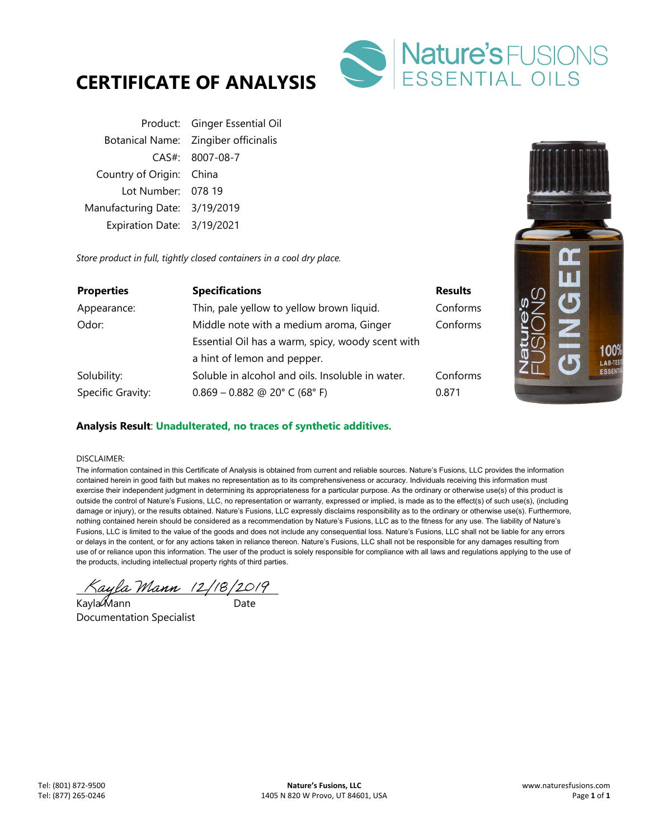



Product: Ginger Essential Oil Botanical Name: Zingiber officinalis CAS#: 8007-08-7 Country of Origin: China Lot Number: 078 19 Manufacturing Date: 3/19/2019 Expiration Date: 3/19/2021

*Store product in full, tightly closed containers in a cool dry place.* 

| <b>Properties</b> | <b>Specifications</b>                             | <b>Results</b> |
|-------------------|---------------------------------------------------|----------------|
| Appearance:       | Thin, pale yellow to yellow brown liquid.         | Conforms       |
| Odor:             | Middle note with a medium aroma, Ginger           | Conforms       |
|                   | Essential Oil has a warm, spicy, woody scent with |                |
|                   | a hint of lemon and pepper.                       |                |
| Solubility:       | Soluble in alcohol and oils. Insoluble in water.  | Conforms       |
| Specific Gravity: | $0.869 - 0.882$ @ 20° C (68° F)                   | 0.871          |



### **Analysis Result**: **Unadulterated, no traces of synthetic additives.**

#### DISCLAIMER:

The information contained in this Certificate of Analysis is obtained from current and reliable sources. Nature's Fusions, LLC provides the information contained herein in good faith but makes no representation as to its comprehensiveness or accuracy. Individuals receiving this information must exercise their independent judgment in determining its appropriateness for a particular purpose. As the ordinary or otherwise use(s) of this product is outside the control of Nature's Fusions, LLC, no representation or warranty, expressed or implied, is made as to the effect(s) of such use(s), (including damage or injury), or the results obtained. Nature's Fusions, LLC expressly disclaims responsibility as to the ordinary or otherwise use(s). Furthermore, nothing contained herein should be considered as a recommendation by Nature's Fusions, LLC as to the fitness for any use. The liability of Nature's Fusions, LLC is limited to the value of the goods and does not include any consequential loss. Nature's Fusions, LLC shall not be liable for any errors or delays in the content, or for any actions taken in reliance thereon. Nature's Fusions, LLC shall not be responsible for any damages resulting from use of or reliance upon this information. The user of the product is solely responsible for compliance with all laws and regulations applying to the use of the products, including intellectual property rights of third parties.

 $\pi_{\text{a}q}$ la Mann (2/18/2019)

Kayla Mann ann an Date Documentation Specialist